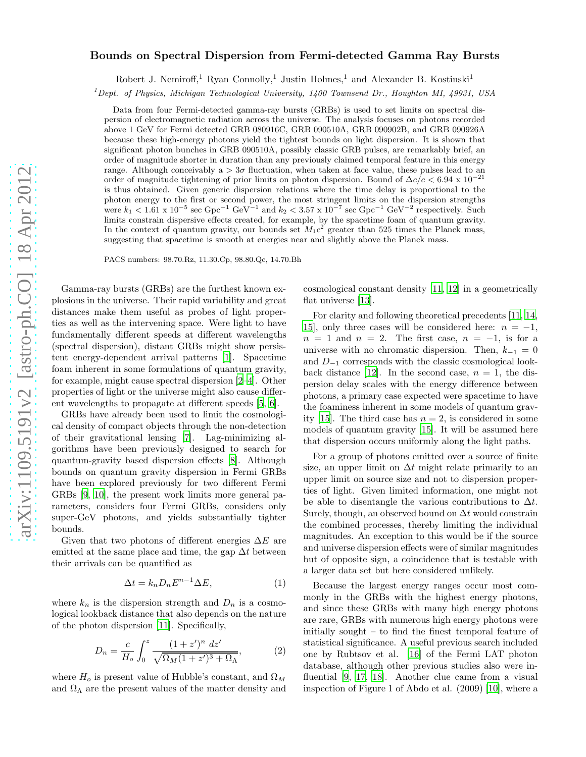## arXiv:1109.5191v2 [astro-ph.CO] 18 Apr 2012 [arXiv:1109.5191v2 \[astro-ph.CO\] 18 Apr 2012](http://arxiv.org/abs/1109.5191v2)

## Bounds on Spectral Dispersion from Fermi-detected Gamma Ray Bursts

Robert J. Nemiroff,<sup>1</sup> Ryan Connolly,<sup>1</sup> Justin Holmes,<sup>1</sup> and Alexander B. Kostinski<sup>1</sup>

 $1$ Dept. of Physics, Michigan Technological University, 1400 Townsend Dr., Houghton MI, 49931, USA

Data from four Fermi-detected gamma-ray bursts (GRBs) is used to set limits on spectral dispersion of electromagnetic radiation across the universe. The analysis focuses on photons recorded above 1 GeV for Fermi detected GRB 080916C, GRB 090510A, GRB 090902B, and GRB 090926A because these high-energy photons yield the tightest bounds on light dispersion. It is shown that significant photon bunches in GRB 090510A, possibly classic GRB pulses, are remarkably brief, an order of magnitude shorter in duration than any previously claimed temporal feature in this energy range. Although conceivably  $a > 3\sigma$  fluctuation, when taken at face value, these pulses lead to an order of magnitude tightening of prior limits on photon dispersion. Bound of  $\Delta c/c < 6.94 \times 10^{-21}$ is thus obtained. Given generic dispersion relations where the time delay is proportional to the photon energy to the first or second power, the most stringent limits on the dispersion strengths were  $k_1 < 1.61 \times 10^{-5}$  sec Gpc<sup>-1</sup> GeV<sup>-1</sup> and  $k_2 < 3.57 \times 10^{-7}$  sec Gpc<sup>-1</sup> GeV<sup>-2</sup> respectively. Such limits constrain dispersive effects created, for example, by the spacetime foam of quantum gravity. In the context of quantum gravity, our bounds set  $M_1c^2$  greater than 525 times the Planck mass, suggesting that spacetime is smooth at energies near and slightly above the Planck mass.

PACS numbers: 98.70.Rz, 11.30.Cp, 98.80.Qc, 14.70.Bh

Gamma-ray bursts (GRBs) are the furthest known explosions in the universe. Their rapid variability and great distances make them useful as probes of light properties as well as the intervening space. Were light to have fundamentally different speeds at different wavelengths (spectral dispersion), distant GRBs might show persistent energy-dependent arrival patterns [\[1\]](#page-3-0). Spacetime foam inherent in some formulations of quantum gravity, for example, might cause spectral dispersion [\[2](#page-3-1)[–4\]](#page-3-2). Other properties of light or the universe might also cause different wavelengths to propagate at different speeds [\[5,](#page-3-3) [6\]](#page-3-4).

GRBs have already been used to limit the cosmological density of compact objects through the non-detection of their gravitational lensing [\[7\]](#page-3-5). Lag-minimizing algorithms have been previously designed to search for quantum-gravity based dispersion effects [\[8\]](#page-3-6). Although bounds on quantum gravity dispersion in Fermi GRBs have been explored previously for two different Fermi GRBs [\[9,](#page-3-7) [10\]](#page-3-8), the present work limits more general parameters, considers four Fermi GRBs, considers only super-GeV photons, and yields substantially tighter bounds.

Given that two photons of different energies  $\Delta E$  are emitted at the same place and time, the gap  $\Delta t$  between their arrivals can be quantified as

$$
\Delta t = k_n D_n E^{n-1} \Delta E,\tag{1}
$$

where  $k_n$  is the dispersion strength and  $D_n$  is a cosmological lookback distance that also depends on the nature of the photon dispersion [\[11\]](#page-3-9). Specifically,

$$
D_n = \frac{c}{H_o} \int_0^z \frac{(1+z')^n dz'}{\sqrt{\Omega_M (1+z')^3 + \Omega_\Lambda}},
$$
(2)

where  $H_o$  is present value of Hubble's constant, and  $\Omega_M$ and  $\Omega_{\Lambda}$  are the present values of the matter density and

cosmological constant density [\[11,](#page-3-9) [12](#page-3-10)] in a geometrically flat universe [\[13](#page-3-11)].

For clarity and following theoretical precedents [\[11,](#page-3-9) [14](#page-3-12), [15\]](#page-3-13), only three cases will be considered here:  $n = -1$ ,  $n = 1$  and  $n = 2$ . The first case,  $n = -1$ , is for a universe with no chromatic dispersion. Then,  $k_{-1} = 0$ and  $D_{-1}$  corresponds with the classic cosmological look-back distance [\[12](#page-3-10)]. In the second case,  $n = 1$ , the dispersion delay scales with the energy difference between photons, a primary case expected were spacetime to have the foaminess inherent in some models of quantum grav-ity [\[15\]](#page-3-13). The third case has  $n = 2$ , is considered in some models of quantum gravity [\[15\]](#page-3-13). It will be assumed here that dispersion occurs uniformly along the light paths.

For a group of photons emitted over a source of finite size, an upper limit on  $\Delta t$  might relate primarily to an upper limit on source size and not to dispersion properties of light. Given limited information, one might not be able to disentangle the various contributions to  $\Delta t$ . Surely, though, an observed bound on  $\Delta t$  would constrain the combined processes, thereby limiting the individual magnitudes. An exception to this would be if the source and universe dispersion effects were of similar magnitudes but of opposite sign, a coincidence that is testable with a larger data set but here considered unlikely.

Because the largest energy ranges occur most commonly in the GRBs with the highest energy photons, and since these GRBs with many high energy photons are rare, GRBs with numerous high energy photons were initially sought – to find the finest temporal feature of statistical significance. A useful previous search included one by Rubtsov et al. [\[16\]](#page-3-14) of the Fermi LAT photon database, although other previous studies also were influential [\[9,](#page-3-7) [17,](#page-3-15) [18](#page-3-16)]. Another clue came from a visual inspection of Figure 1 of Abdo et al. (2009) [\[10](#page-3-8)], where a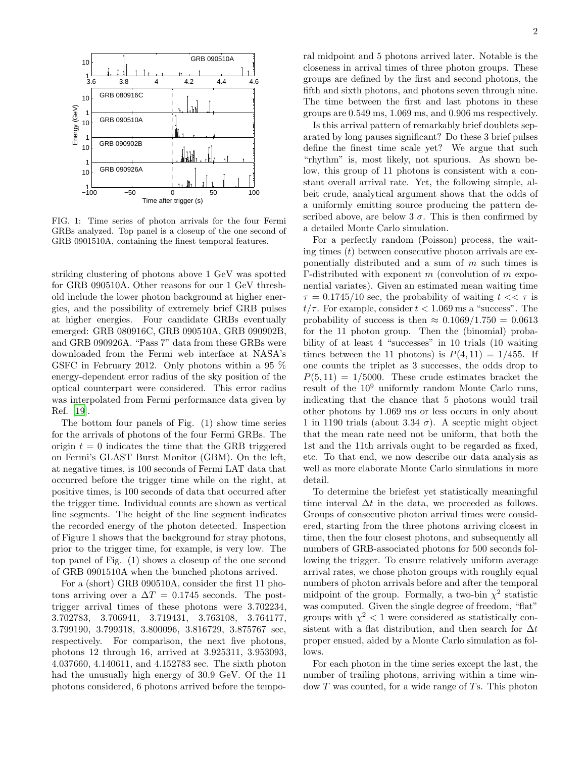

FIG. 1: Time series of photon arrivals for the four Fermi GRBs analyzed. Top panel is a closeup of the one second of GRB 0901510A, containing the finest temporal features.

striking clustering of photons above 1 GeV was spotted for GRB 090510A. Other reasons for our 1 GeV threshold include the lower photon background at higher energies, and the possibility of extremely brief GRB pulses at higher energies. Four candidate GRBs eventually emerged: GRB 080916C, GRB 090510A, GRB 090902B, and GRB 090926A. "Pass 7" data from these GRBs were downloaded from the Fermi web interface at NASA's GSFC in February 2012. Only photons within a 95 % energy-dependent error radius of the sky position of the optical counterpart were considered. This error radius was interpolated from Fermi performance data given by Ref. [\[19\]](#page-3-17).

The bottom four panels of Fig. (1) show time series for the arrivals of photons of the four Fermi GRBs. The origin  $t = 0$  indicates the time that the GRB triggered on Fermi's GLAST Burst Monitor (GBM). On the left, at negative times, is 100 seconds of Fermi LAT data that occurred before the trigger time while on the right, at positive times, is 100 seconds of data that occurred after the trigger time. Individual counts are shown as vertical line segments. The height of the line segment indicates the recorded energy of the photon detected. Inspection of Figure 1 shows that the background for stray photons, prior to the trigger time, for example, is very low. The top panel of Fig. (1) shows a closeup of the one second of GRB 0901510A when the bunched photons arrived.

For a (short) GRB 090510A, consider the first 11 photons arriving over a  $\Delta T = 0.1745$  seconds. The posttrigger arrival times of these photons were 3.702234, 3.702783, 3.706941, 3.719431, 3.763108, 3.764177, 3.799190, 3.799318, 3.800096, 3.816729, 3.875767 sec, respectively. For comparison, the next five photons, photons 12 through 16, arrived at 3.925311, 3.953093, 4.037660, 4.140611, and 4.152783 sec. The sixth photon had the unusually high energy of 30.9 GeV. Of the 11 photons considered, 6 photons arrived before the temporal midpoint and 5 photons arrived later. Notable is the closeness in arrival times of three photon groups. These groups are defined by the first and second photons, the fifth and sixth photons, and photons seven through nine. The time between the first and last photons in these groups are 0.549 ms, 1.069 ms, and 0.906 ms respectively.

Is this arrival pattern of remarkably brief doublets separated by long pauses significant? Do these 3 brief pulses define the finest time scale yet? We argue that such "rhythm" is, most likely, not spurious. As shown below, this group of 11 photons is consistent with a constant overall arrival rate. Yet, the following simple, albeit crude, analytical argument shows that the odds of a uniformly emitting source producing the pattern described above, are below 3  $\sigma$ . This is then confirmed by a detailed Monte Carlo simulation.

For a perfectly random (Poisson) process, the waiting times  $(t)$  between consecutive photon arrivals are exponentially distributed and a sum of  $m$  such times is  $\Gamma$ -distributed with exponent m (convolution of m exponential variates). Given an estimated mean waiting time  $\tau = 0.1745/10$  sec, the probability of waiting  $t \ll \tau$  is  $t/\tau$ . For example, consider  $t < 1.069$  ms a "success". The probability of success is then  $\approx 0.1069/1.750 = 0.0613$ for the 11 photon group. Then the (binomial) probability of at least 4 "successes" in 10 trials (10 waiting times between the 11 photons) is  $P(4, 11) = 1/455$ . If one counts the triplet as 3 successes, the odds drop to  $P(5, 11) = 1/5000$ . These crude estimates bracket the result of the 10<sup>9</sup> uniformly random Monte Carlo runs, indicating that the chance that 5 photons would trail other photons by 1.069 ms or less occurs in only about 1 in 1190 trials (about 3.34  $\sigma$ ). A sceptic might object that the mean rate need not be uniform, that both the 1st and the 11th arrivals ought to be regarded as fixed, etc. To that end, we now describe our data analysis as well as more elaborate Monte Carlo simulations in more detail.

To determine the briefest yet statistically meaningful time interval  $\Delta t$  in the data, we proceeded as follows. Groups of consecutive photon arrival times were considered, starting from the three photons arriving closest in time, then the four closest photons, and subsequently all numbers of GRB-associated photons for 500 seconds following the trigger. To ensure relatively uniform average arrival rates, we chose photon groups with roughly equal numbers of photon arrivals before and after the temporal midpoint of the group. Formally, a two-bin  $\chi^2$  statistic was computed. Given the single degree of freedom, "flat" groups with  $\chi^2$  < 1 were considered as statistically consistent with a flat distribution, and then search for  $\Delta t$ proper ensued, aided by a Monte Carlo simulation as follows.

For each photon in the time series except the last, the number of trailing photons, arriving within a time win $d$ ow T was counted, for a wide range of Ts. This photon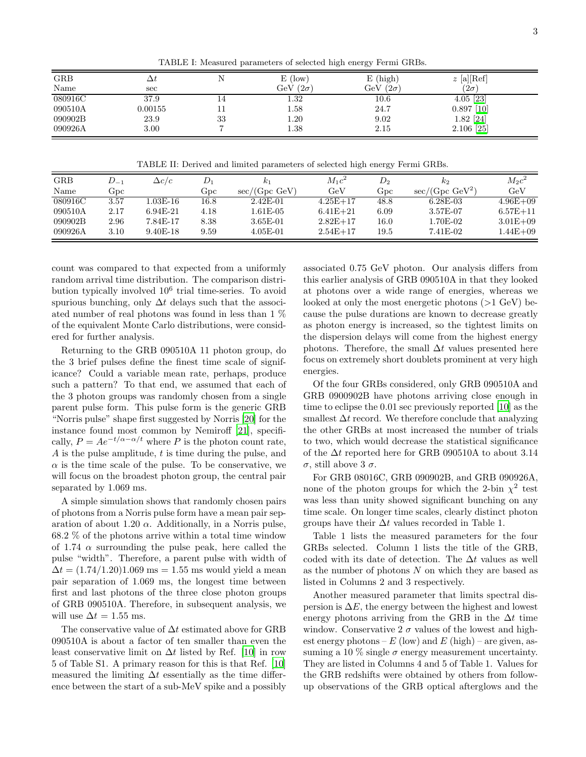TABLE I: Measured parameters of selected high energy Fermi GRBs.

| <b>GRB</b> |         |    | $E$ (low)       | $E$ (high)      | $z$ [a][Ref]  |  |
|------------|---------|----|-----------------|-----------------|---------------|--|
| Name       | sec     |    | GeV $(2\sigma)$ | GeV $(2\sigma)$ | ( $2\sigma^2$ |  |
| 080916C    | 37.9    | 14 | $1.32\,$        | 10.6            | $4.05$ [23]   |  |
| 090510A    | 0.00155 |    | $1.58\,$        | 24.7            | $0.897$ [10]  |  |
| 090902B    | 23.9    | 33 | 1.20            | 9.02            | $1.82$ [24]   |  |
| 090926A    | 3.00    |    | $1.38\,$        | 2.15            | $2.106$ [25]  |  |

TABLE II: Derived and limited parameters of selected high energy Fermi GRBs.

| $k_2$             | $M_2c^2$     |
|-------------------|--------------|
| $sec/(Gpc GeV^2)$ | $\rm GeV$    |
| $6.28E-03$        | $4.96E + 09$ |
| 3.57E-07          | $6.57E + 11$ |
| 1.70E-02          | $3.01E + 09$ |
| 7.41E-02          | $1.44E + 09$ |
|                   |              |

count was compared to that expected from a uniformly random arrival time distribution. The comparison distribution typically involved  $10^6$  trial time-series. To avoid spurious bunching, only  $\Delta t$  delays such that the associated number of real photons was found in less than 1 % of the equivalent Monte Carlo distributions, were considered for further analysis.

Returning to the GRB 090510A 11 photon group, do the 3 brief pulses define the finest time scale of significance? Could a variable mean rate, perhaps, produce such a pattern? To that end, we assumed that each of the 3 photon groups was randomly chosen from a single parent pulse form. This pulse form is the generic GRB "Norris pulse" shape first suggested by Norris [\[20](#page-3-21)] for the instance found most common by Nemiroff [\[21\]](#page-3-22), specifically,  $P = Ae^{-t/\alpha - \alpha/t}$  where P is the photon count rate, A is the pulse amplitude, t is time during the pulse, and  $\alpha$  is the time scale of the pulse. To be conservative, we will focus on the broadest photon group, the central pair separated by 1.069 ms.

A simple simulation shows that randomly chosen pairs of photons from a Norris pulse form have a mean pair separation of about 1.20  $\alpha$ . Additionally, in a Norris pulse, 68.2 % of the photons arrive within a total time window of 1.74  $\alpha$  surrounding the pulse peak, here called the pulse "width". Therefore, a parent pulse with width of  $\Delta t = (1.74/1.20)1.069 \text{ ms} = 1.55 \text{ ms}$  would yield a mean pair separation of 1.069 ms, the longest time between first and last photons of the three close photon groups of GRB 090510A. Therefore, in subsequent analysis, we will use  $\Delta t = 1.55$  ms.

The conservative value of  $\Delta t$  estimated above for GRB 090510A is about a factor of ten smaller than even the least conservative limit on  $\Delta t$  listed by Ref. [\[10\]](#page-3-8) in row 5 of Table S1. A primary reason for this is that Ref. [\[10](#page-3-8)] measured the limiting  $\Delta t$  essentially as the time difference between the start of a sub-MeV spike and a possibly associated 0.75 GeV photon. Our analysis differs from this earlier analysis of GRB 090510A in that they looked at photons over a wide range of energies, whereas we looked at only the most energetic photons  $(>1 \text{ GeV})$  because the pulse durations are known to decrease greatly as photon energy is increased, so the tightest limits on the dispersion delays will come from the highest energy photons. Therefore, the small  $\Delta t$  values presented here focus on extremely short doublets prominent at very high energies.

Of the four GRBs considered, only GRB 090510A and GRB 0900902B have photons arriving close enough in time to eclipse the 0.01 sec previously reported [\[10\]](#page-3-8) as the smallest  $\Delta t$  record. We therefore conclude that analyzing the other GRBs at most increased the number of trials to two, which would decrease the statistical significance of the  $\Delta t$  reported here for GRB 090510A to about 3.14 σ, still above 3 σ.

For GRB 08016C, GRB 090902B, and GRB 090926A, none of the photon groups for which the 2-bin  $\chi^2$  test was less than unity showed significant bunching on any time scale. On longer time scales, clearly distinct photon groups have their  $\Delta t$  values recorded in Table 1.

Table 1 lists the measured parameters for the four GRBs selected. Column 1 lists the title of the GRB, coded with its date of detection. The  $\Delta t$  values as well as the number of photons  $N$  on which they are based as listed in Columns 2 and 3 respectively.

Another measured parameter that limits spectral dispersion is  $\Delta E$ , the energy between the highest and lowest energy photons arriving from the GRB in the  $\Delta t$  time window. Conservative  $2 \sigma$  values of the lowest and highest energy photons –  $E$  (low) and  $E$  (high) – are given, assuming a 10  $\%$  single  $\sigma$  energy measurement uncertainty. They are listed in Columns 4 and 5 of Table 1. Values for the GRB redshifts were obtained by others from followup observations of the GRB optical afterglows and the